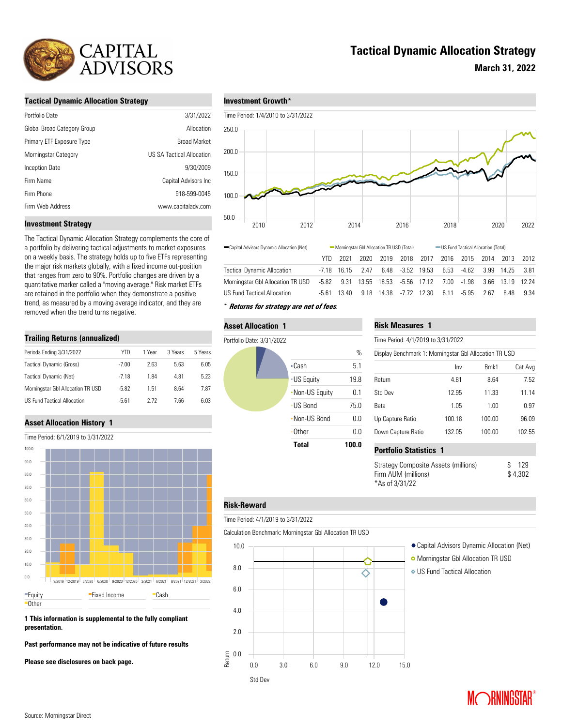

## **Tactical Dynamic Allocation Strategy**

**March 31, 2022**

#### **Tactical Dynamic Allocation Strategy**

| Portfolio Date              | 3/31/2022                        |
|-----------------------------|----------------------------------|
| Global Broad Category Group | Allocation                       |
| Primary ETF Exposure Type   | <b>Broad Market</b>              |
| Morningstar Category        | <b>US SA Tactical Allocation</b> |
| Inception Date              | 9/30/2009                        |
| Firm Name                   | Capital Advisors Inc             |
| Firm Phone                  | 918-599-0045                     |
| Firm Web Address            | www.capitaladv.com               |



#### **Investment Strategy**

The Tactical Dynamic Allocation Strategy complements the core of a portfolio by delivering tactical adjustments to market exposures on a weekly basis. The strategy holds up to five ETFs representing the major risk markets globally, with a fixed income out-position that ranges from zero to 90%. Portfolio changes are driven by a quantitative marker called a "moving average." Risk market ETFs are retained in the portfolio when they demonstrate a positive trend, as measured by a moving average indicator, and they are removed when the trend turns negative.

#### **Trailing Returns (annualized)**

| Periods Ending 3/31/2022          | YTD.    | 1 Year | 3 Years | 5 Years |
|-----------------------------------|---------|--------|---------|---------|
| Tactical Dynamic (Gross)          | $-7.00$ | 2.63   | 5.63    | 6.05    |
| Tactical Dynamic (Net)            | $-718$  | 184    | 4.81    | 5.23    |
| Morningstar GbI Allocation TR USD | $-5.82$ | 1.51   | 864     | 7.87    |
| US Fund Tactical Allocation       | $-5.61$ | 2 72   | 7.66    | 6.03    |

### **Asset Allocation History 1**

Time Period: 6/1/2019 to 3/31/2022



**1 This information is supplemental to the fully compliant presentation.** 

**Past performance may not be indicative of future results**

**Please see disclosures on back page.**

\* **Returns for strategy are net of fees**.

#### **Asset Allocation 1**

Tactical Dynamic Allocation Morningstar Gbl Allocation TR USD US Fund Tactical Allocation



#### **Risk Measures 1**

Time Period: 4/1/2019 to 3/31/2022

YTD 2021 2020 2019 2018 2017 2016 2015 2014 2013 2012

-7.18 16.15 2.47 6.48 -3.52 19.53 6.53 -4.62 3.99 14.25 3.81 -5.82 9.31 13.55 18.53 -5.56 17.12 7.00 -1.98 3.66 13.19 12.24 -5.61 13.40 9.18 14.38 -7.72 12.30 6.11 -5.95 2.67 8.48 9.34

|  | Display Benchmark 1: Morningstar Gbl Allocation TR USD |  |
|--|--------------------------------------------------------|--|
|  |                                                        |  |

|                    | Inv    | Bmk1   | Cat Avg |
|--------------------|--------|--------|---------|
| Return             | 4.81   | 8.64   | 7.52    |
| Std Dev            | 12.95  | 11.33  | 11.14   |
| <b>Beta</b>        | 1.05   | 1.00   | 0.97    |
| Up Capture Ratio   | 100.18 | 100.00 | 96.09   |
| Down Capture Ratio | 132.05 | 100.00 | 102.55  |
|                    |        |        |         |

## Strategy Composite Assets (millions) \$ 129 Firm AUM (millions) \$4,302 **Portfolio Statistics 1**

\*As of 3/31/22

#### **Risk-Reward**

Time Period: 4/1/2019 to 3/31/2022

Calculation Benchmark: Morningstar Gbl Allocation TR USD



- 
- **O** Morningstar Gbl Allocation TR USD
- US Fund Tactical Allocation